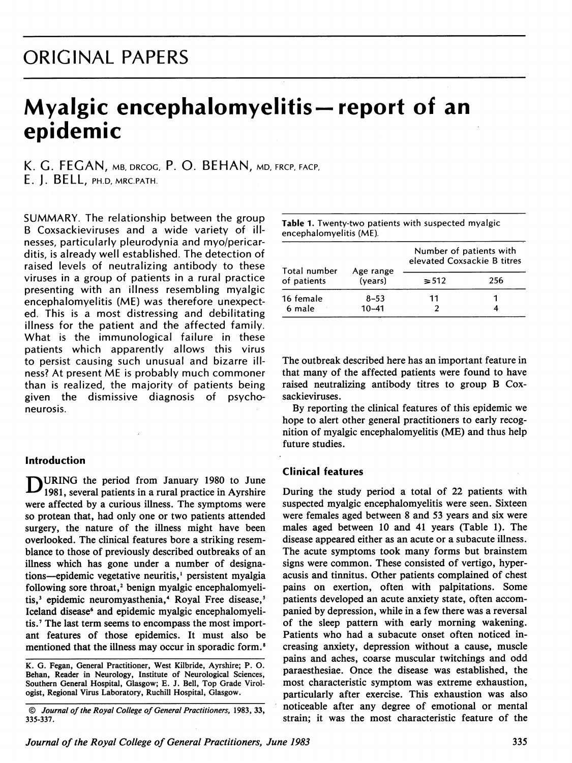## ORIGINAL PAPERS

# Myalgic encephalomyelitis-report of an epidemic

K. G. FEGAN, mb, drcoc, P. O. BEHAN, md, frcp, facp, E. J. BELL, PH.D, MRC.PATH.

SUMMARY. The relationship between the group B Coxsackieviruses and a wide variety of illnesses, particularly pleurodynia and myo/pericarditis, is already well established. The detection of raised levels of neutralizing antibody to these viruses in a group of patients in a rural practice presenting with an illness resembling myalgic encephalomyelitis (ME) was therefore unexpected. This is a most distressing and debilitating illness for the patient and the affected family. What is the immunological failure in these patients which apparently allows this virus to persist causing such unusual and bizarre illness? At present ME is probably much commoner than is realized, the majority of patients being given the dismissive diagnosis of psychoneurosis.

#### Introduction

URING the period from January 1980 to June 1981, several patients in a rural practice in Ayrshire were affected by a curious illness. The symptoms were so protean that, had only one or two patients attended surgery, the nature of the illness might have been overlooked. The clinical features bore a striking resemblance to those of previously described outbreaks of an illness which has gone under a number of designations—epidemic vegetative neuritis,<sup>1</sup> persistent myalgia following sore throat,<sup>2</sup> benign myalgic encephalomyelitis,<sup>3</sup> epidemic neuromyasthenia,<sup>4</sup> Royal Free disease,<sup>5</sup> Iceland disease<sup>6</sup> and epidemic myalgic encephalomyelitis.<sup>7</sup> The last term seems to encompass the most important features of those epidemics. It must also be mentioned that the illness may occur in sporadic form.<sup>8</sup>

| encephalomyelitis (ME). |           |                                                        |     |  |  |
|-------------------------|-----------|--------------------------------------------------------|-----|--|--|
| Total number            | Age range | Number of patients with<br>elevated Coxsackie B titres |     |  |  |
| of patients             | (vears)   | $\geq 512$                                             | 256 |  |  |
| 16 female               | $8 - 53$  | 11                                                     |     |  |  |
| 6 male                  | $10 - 41$ |                                                        |     |  |  |

Table 1. Twenty-two patients with suspected myalgic

The outbreak described here has an important feature in that many of the affected patients were found to have raised neutralizing antibody titres to group B Coxsackieviruses.

By reporting the clinical features of this epidemic we hope to alert other general practitioners to early recognition of myalgic encephalomyelitis (ME) and thus help future studies.

### Clinical features

During the study period a total of 22 patients with suspected myalgic encephalomyelitis were seen. Sixteen were females aged between <sup>8</sup> and 53 years and six were males aged between <sup>10</sup> and <sup>41</sup> years (Table 1). The disease appeared either as an acute or a subacute illness. The acute symptoms took many forms but brainstem signs were common. These consisted of vertigo, hyperacusis and tinnitus. Other patients complained of chest pains on exertion, often with palpitations. Some patients developed an acute anxiety state, often accom panied by depression, while in a few there was a reversal of the sleep pattern with early morning wakening. Patients who had a subacute onset often noticed in creasing anxiety, depression without a cause, muscle pains and aches, coarse muscular twitchings and odd paraesthesiae. Once the disease was established, the most characteristic symptom was extreme exhaustion, particularly after exercise. This exhaustion was also noticeable after any degree of emotional or mental strain; it was the most characteristic feature of the

K. G. Fegan, General Practitioner, West Kilbride, Ayrshire; P. O. Behan, Reader in Neurology, Institute of Neurological Sciences, Southern General Hospital, Glasgow; E. J. Bell, Top Grade Virologist, Regional Virus Laboratory, Ruchill Hospital, Glasgow.

<sup>©</sup> Journal of the Royal College of General Practitioners, 1983, 33, 335-337.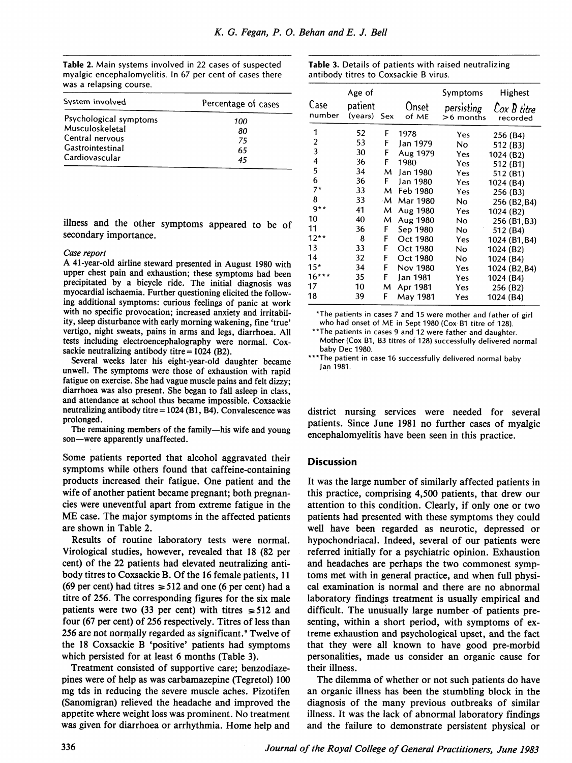Table 2. Main systems involved in 22 cases of suspected myalgic encephalomyelitis. In 67 per cent of cases there was a relapsing course.

Table 3. Details of patients with raised neutralizing antibody titres to Coxsackie B virus.

| System involved        | Percentage of cases |  |  |
|------------------------|---------------------|--|--|
| Psychological symptoms | 100                 |  |  |
| Musculoskeletal        | 80                  |  |  |
| Central nervous        | 75                  |  |  |
| Gastrointestinal       | 65                  |  |  |
| Cardiovascular         | 45                  |  |  |

illness and the other symptoms appeared to be of secondary importance.

#### Case report

A 41-year-old airline steward presented in August <sup>1980</sup> with upper chest pain and exhaustion; these symptoms had been precipitated by a bicycle ride. The initial diagnosis was myocardial ischaemia. Further questioning elicited the following additional symptoms: curious feelings of panic at work with no specific provocation; increased anxiety and irritability, sleep disturbance with early morning wakening, fine 'true' vertigo, night sweats, pains in arms and legs, diarrhoea. All tests including electroencephalography were normal. Coxsackie neutralizing antibody titre  $= 1024$  (B2).

Several weeks later his eight-year-old daughter became unwell. The symptoms were those of exhaustion with rapid fatigue on exercise. She had vague muscle pains and felt dizzy; diarrhoea was also present. She began to fall asleep in class, and attendance at school thus became impossible. Coxsackie neutralizing antibody titre  $= 1024$  (B1, B4). Convalescence was prolonged.

The remaining members of the family—his wife and young son-were apparently unaffected.

Some patients reported that alcohol aggravated their symptoms while others found that caffeine-containing products increased their fatigue. One patient and the wife of another patient became pregnant; both pregnancies were uneventful apart from extreme fatigue in the ME case. The major symptoms in the affected patients are shown in Table 2.

Results of routine laboratory tests were normal. Virological studies, however, revealed that 18 (82 per cent) of the 22 patients had elevated neutralizing antibody titres to Coxsackie B. Of the <sup>16</sup> female patients, <sup>11</sup> (69 per cent) had titres  $\geq 512$  and one (6 per cent) had a titre of 256. The corresponding figures for the six male patients were two (33 per cent) with titres  $\ge 512$  and four (67 per cent) of 256 respectively. Titres of less than 256 are not normally regarded as significant.<sup>9</sup> Twelve of the <sup>18</sup> Coxsackie B 'positive' patients had symptoms which persisted for at least 6 months (Table 3).

Treatment consisted of supportive care; benzodiaze pines were of help as was carbamazepine (Tegretol) 100 mg tds in reducing the severe muscle aches. Pizotifen (Sanomigran) relieved the headache and improved the appetite where weight loss was prominent. No treatment was given for diarrhoea or arrhythmia. Home help and

| Case<br>number | Age of<br>patient<br>(years) Sex |    | Onset<br>of ME | Symptoms<br>persisting<br>$>6$ months | Highest<br>Cox B titre<br>recorded |
|----------------|----------------------------------|----|----------------|---------------------------------------|------------------------------------|
|                |                                  |    |                |                                       |                                    |
| 1              | 52                               | F  | 1978           | Yes                                   | 256 (B4)                           |
| $\overline{2}$ | 53                               | F  | Jan 1979       | No                                    | 512 (B3)                           |
| 3              | 30                               | F  | Aug 1979       | Yes                                   | 1024 (B2)                          |
| 4              | 36                               | F  | 1980           | Yes                                   | 512 (B1)                           |
| 5              | 34                               | м  | Jan 1980       | Yes                                   | 512 (B1)                           |
| 6              | 36                               | F  | Jan 1980       | Yes                                   | 1024 (B4)                          |
| $7*$           | 33                               | м  | Feb 1980       | Yes                                   | 256 (B3)                           |
| 8              | 33                               | ۰M | Mar 1980       | No.                                   | 256 (B2.B4)                        |
| $q**$          | 41                               | м  | Aug 1980       | Yes                                   | 1024 (B2)                          |
| 10             | 40                               | м  | Aug 1980       | No                                    | 256 (B1, B3)                       |
| 11             | 36                               | F  | Sep 1980       | No.                                   | 512 (B4)                           |
| $12**$         | 8                                | F  | Oct 1980       | Yes                                   | 1024 (B1, B4)                      |
| 13             | 33                               | F  | Oct 1980       | No                                    | 1024 (B2)                          |
| 14             | 32                               | F  | Oct 1980       | No                                    | 1024 (B4)                          |
| $15*$          | 34                               | F  | Nov 1980       | Yes                                   | 1024 (B2,B4)                       |
| $16***$        | 35                               | F  | Jan 1981       | Yes                                   | 1024 (B4)                          |
| 17             | 10                               | м  | Apr 1981       | Yes                                   | 256 (B2)                           |
| 18             | 39                               | F  | May 1981       | Yes                                   | 1024 (B4)                          |

\*The patients in cases <sup>7</sup> and <sup>15</sup> were mother and father of girl who had onset of ME in Sept <sup>1980</sup> (Cox B1 titre of 128).

\*\*The patients in cases 9 and 12 were father and daughter. Mother (Cox B1, B3 titres of 128) successfully delivered normal baby Dec 1980.

\*\*\*The patient in case 16 successfully delivered normal baby Jan 1981.

district nursing services were needed for several patients. Since June 1981 no further cases of myalgic encephalomyelitis have been seen in this practice.

#### Discussion

It was the large number of similarly affected patients in this practice, comprising 4,500 patients, that drew our attention to this condition. Clearly, if only one or two patients had presented with these symptoms they could well have been regarded as neurotic, depressed or hypochondriacal. Indeed, several of our patients were referred initially for a psychiatric opinion. Exhaustion and headaches are perhaps the two commonest symptoms met with in general practice, and when full physical examination is normal and there are no abnormal laboratory findings treatment is usually empirical and difficult. The unusually large number of patients presenting, within a short period, with symptoms of extreme exhaustion and psychological upset, and the fact that they were all known to have good pre-morbid personalities, made us consider an organic cause for their illness.

The dilemma of whether or not such patients do have an organic illness has been the stumbling block in the diagnosis of the many previous outbreaks of similar illness. It was the lack of abnormal laboratory findings and the failure to demonstrate persistent physical or